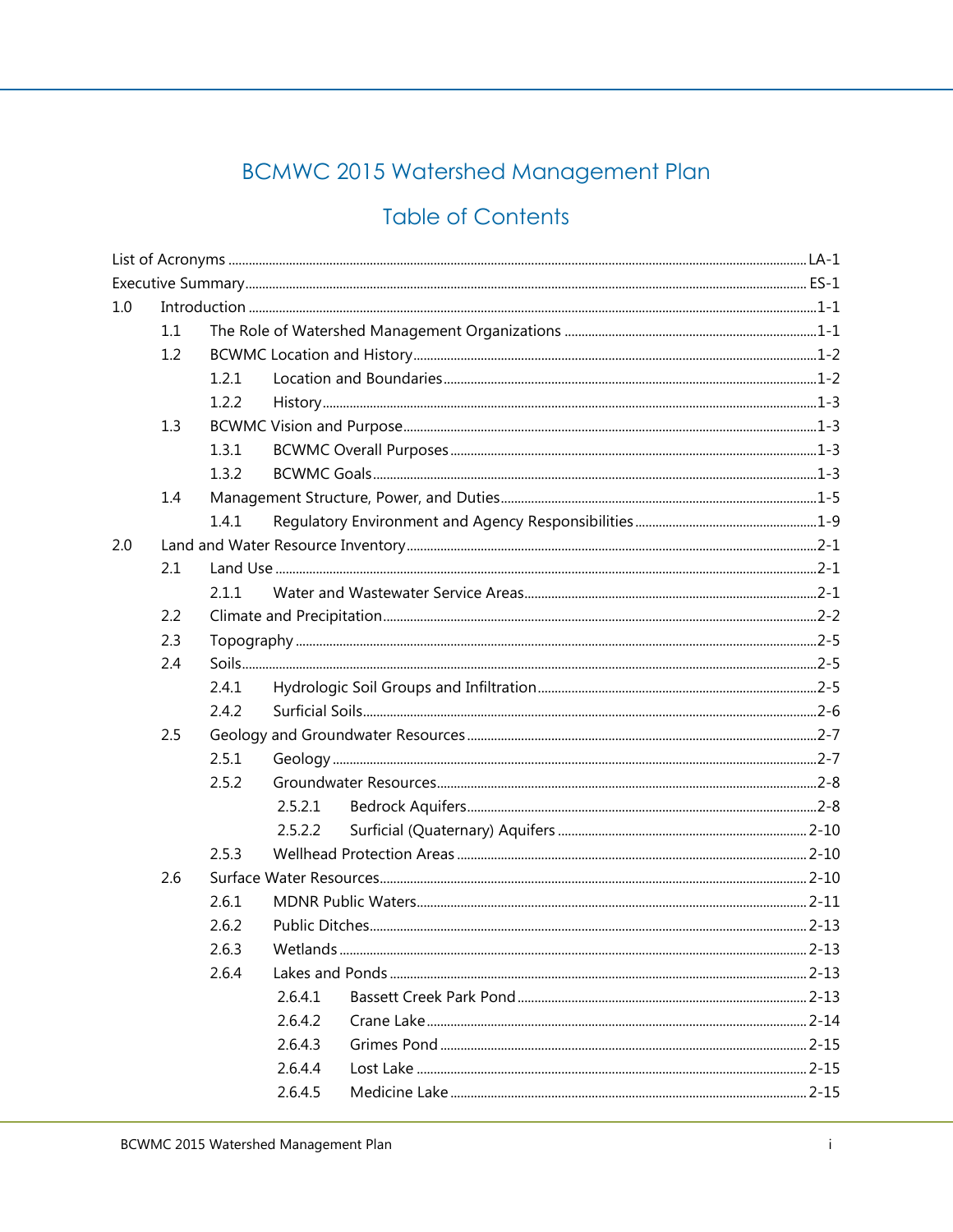# **BCMWC 2015 Watershed Management Plan**

# **Table of Contents**

| 1.0 |     |       |          |  |  |
|-----|-----|-------|----------|--|--|
|     | 1.1 |       |          |  |  |
|     | 1.2 |       |          |  |  |
|     |     | 1.2.1 |          |  |  |
|     |     | 1.2.2 |          |  |  |
|     | 1.3 |       |          |  |  |
|     |     | 1.3.1 |          |  |  |
|     |     | 1.3.2 |          |  |  |
|     | 1.4 |       |          |  |  |
|     |     | 1.4.1 |          |  |  |
| 2.0 |     |       |          |  |  |
|     | 2.1 |       |          |  |  |
|     |     | 2.1.1 |          |  |  |
|     | 2.2 |       |          |  |  |
|     | 2.3 |       |          |  |  |
|     | 2.4 |       |          |  |  |
|     |     | 2.4.1 |          |  |  |
|     |     | 2.4.2 |          |  |  |
|     | 2.5 |       |          |  |  |
|     |     | 2.5.1 |          |  |  |
|     |     | 2.5.2 |          |  |  |
|     |     |       | 2.5.2.1  |  |  |
|     |     |       | 2.5.2.2  |  |  |
|     |     | 2.5.3 |          |  |  |
|     | 2.6 |       |          |  |  |
|     |     | 2.6.1 |          |  |  |
|     |     | 2.6.2 |          |  |  |
|     |     | 2.6.3 | Wetlands |  |  |
|     |     | 2.6.4 |          |  |  |
|     |     |       | 2.6.4.1  |  |  |
|     |     |       | 2.6.4.2  |  |  |
|     |     |       | 2.6.4.3  |  |  |
|     |     |       | 2.6.4.4  |  |  |
|     |     |       | 2.6.4.5  |  |  |
|     |     |       |          |  |  |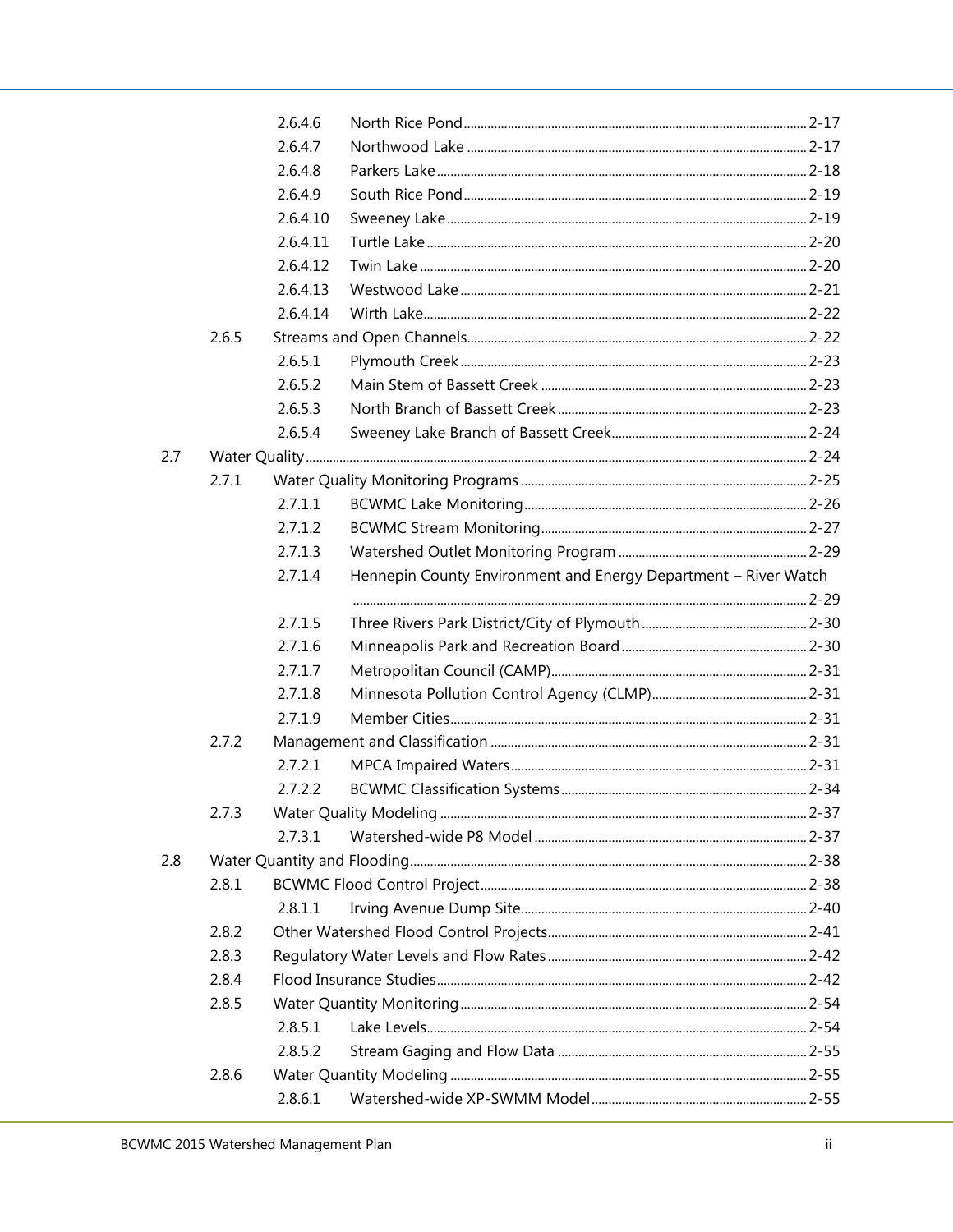|     |       | 2.6.4.6  |                                                                 |  |
|-----|-------|----------|-----------------------------------------------------------------|--|
|     |       | 2.6.4.7  |                                                                 |  |
|     |       | 2.6.4.8  |                                                                 |  |
|     |       | 2.6.4.9  |                                                                 |  |
|     |       | 2.6.4.10 |                                                                 |  |
|     |       | 2.6.4.11 |                                                                 |  |
|     |       | 2.6.4.12 |                                                                 |  |
|     |       | 2.6.4.13 |                                                                 |  |
|     |       | 2.6.4.14 |                                                                 |  |
|     | 2.6.5 |          |                                                                 |  |
|     |       | 2.6.5.1  |                                                                 |  |
|     |       | 2.6.5.2  |                                                                 |  |
|     |       | 2.6.5.3  |                                                                 |  |
|     |       | 2.6.5.4  |                                                                 |  |
| 2.7 |       |          |                                                                 |  |
|     | 2.7.1 |          |                                                                 |  |
|     |       | 2.7.1.1  |                                                                 |  |
|     |       | 2.7.1.2  |                                                                 |  |
|     |       | 2.7.1.3  |                                                                 |  |
|     |       | 2.7.1.4  | Hennepin County Environment and Energy Department - River Watch |  |
|     |       | 2.7.1.5  |                                                                 |  |
|     |       | 2.7.1.6  |                                                                 |  |
|     |       | 2.7.1.7  |                                                                 |  |
|     |       | 2.7.1.8  |                                                                 |  |
|     |       | 2.7.1.9  |                                                                 |  |
|     | 2.7.2 |          |                                                                 |  |
|     |       | 2.7.2.1  |                                                                 |  |
|     |       | 2.7.2.2  |                                                                 |  |
|     | 2.7.3 |          |                                                                 |  |
|     |       | 2.7.3.1  |                                                                 |  |
| 2.8 |       |          |                                                                 |  |
|     | 2.8.1 |          |                                                                 |  |
|     |       | 2.8.1.1  |                                                                 |  |
|     | 2.8.2 |          |                                                                 |  |
|     | 2.8.3 |          |                                                                 |  |
|     | 2.8.4 |          |                                                                 |  |
|     | 2.8.5 |          |                                                                 |  |
|     |       | 2.8.5.1  |                                                                 |  |
|     |       | 2.8.5.2  |                                                                 |  |
|     | 2.8.6 |          |                                                                 |  |
|     |       | 2.8.6.1  |                                                                 |  |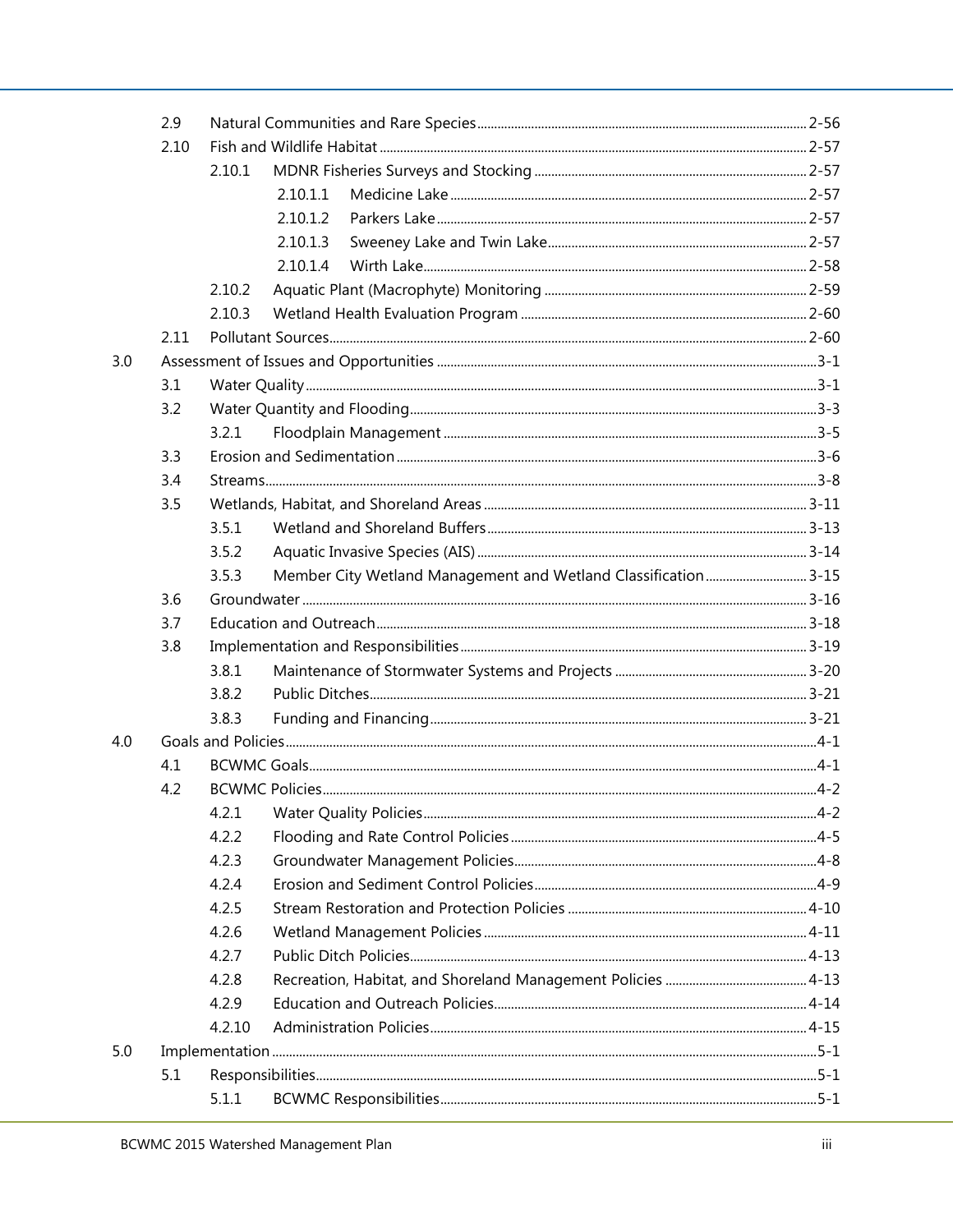|     | 2.9  |          |  |  |  |  |
|-----|------|----------|--|--|--|--|
|     | 2.10 |          |  |  |  |  |
|     |      | 2.10.1   |  |  |  |  |
|     |      | 2.10.1.1 |  |  |  |  |
|     |      | 2.10.1.2 |  |  |  |  |
|     |      | 2.10.1.3 |  |  |  |  |
|     |      | 2.10.1.4 |  |  |  |  |
|     |      | 2.10.2   |  |  |  |  |
|     |      | 2.10.3   |  |  |  |  |
|     | 2.11 |          |  |  |  |  |
| 3.0 |      |          |  |  |  |  |
|     | 3.1  |          |  |  |  |  |
|     | 3.2  |          |  |  |  |  |
|     |      | 3.2.1    |  |  |  |  |
|     | 3.3  |          |  |  |  |  |
|     | 3.4  |          |  |  |  |  |
|     | 3.5  |          |  |  |  |  |
|     |      | 3.5.1    |  |  |  |  |
|     |      | 3.5.2    |  |  |  |  |
|     |      | 3.5.3    |  |  |  |  |
|     | 3.6  |          |  |  |  |  |
|     | 3.7  |          |  |  |  |  |
|     | 3.8  |          |  |  |  |  |
|     |      | 3.8.1    |  |  |  |  |
|     |      | 3.8.2    |  |  |  |  |
|     |      | 3.8.3    |  |  |  |  |
| 4.0 |      |          |  |  |  |  |
|     | 4.1  |          |  |  |  |  |
|     | 4.2  |          |  |  |  |  |
|     |      | 4.2.1    |  |  |  |  |
|     |      | 4.2.2    |  |  |  |  |
|     |      | 4.2.3    |  |  |  |  |
|     |      | 4.2.4    |  |  |  |  |
|     |      | 4.2.5    |  |  |  |  |
|     |      | 4.2.6    |  |  |  |  |
|     |      | 4.2.7    |  |  |  |  |
|     |      | 4.2.8    |  |  |  |  |
|     |      | 4.2.9    |  |  |  |  |
|     |      | 4.2.10   |  |  |  |  |
| 5.0 |      |          |  |  |  |  |
|     | 5.1  |          |  |  |  |  |
|     |      | 5.1.1    |  |  |  |  |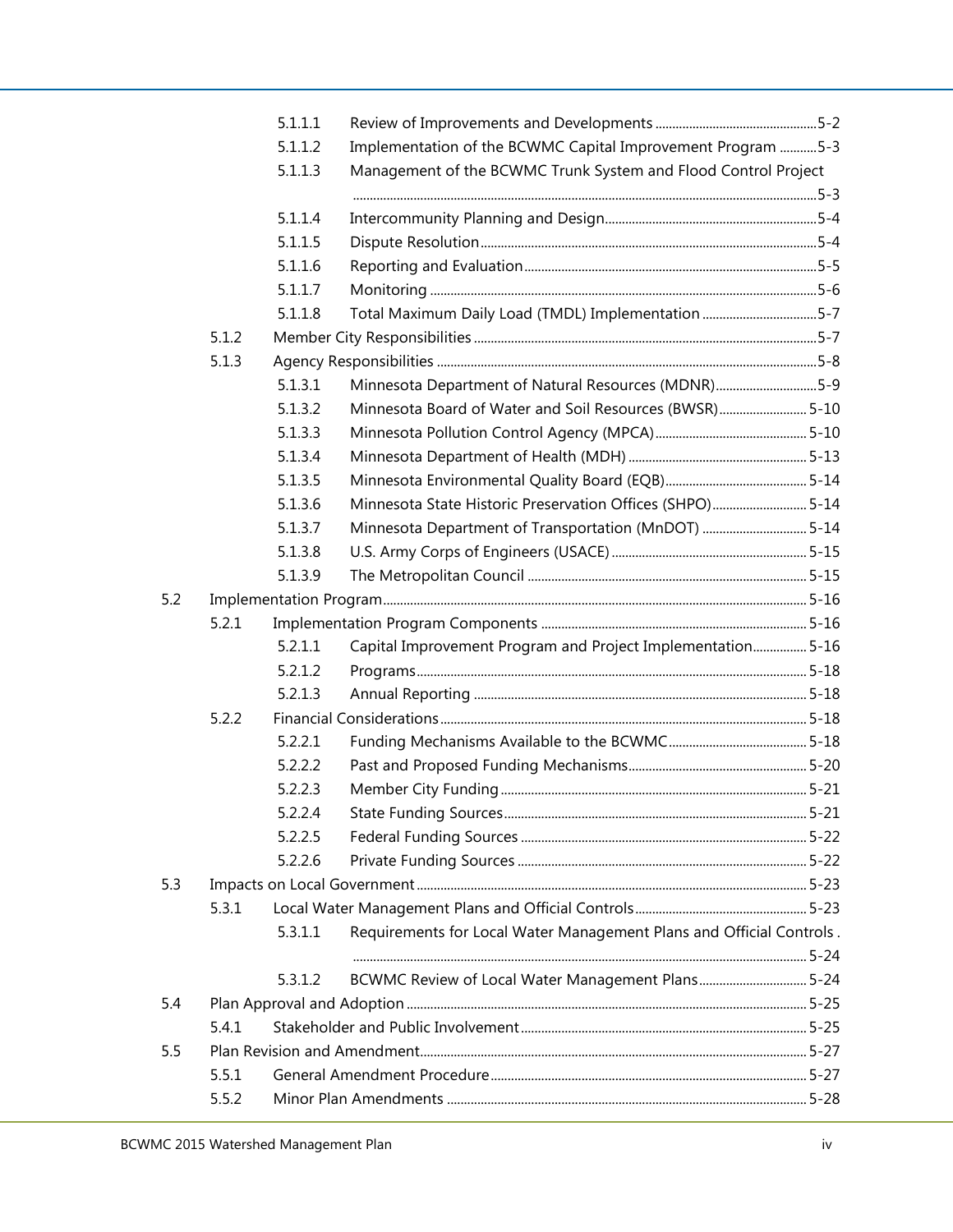|     |       | 5.1.1.1 |                                                                      |  |
|-----|-------|---------|----------------------------------------------------------------------|--|
|     |       | 5.1.1.2 | Implementation of the BCWMC Capital Improvement Program 5-3          |  |
|     |       | 5.1.1.3 | Management of the BCWMC Trunk System and Flood Control Project       |  |
|     |       |         |                                                                      |  |
|     |       | 5.1.1.4 |                                                                      |  |
|     |       | 5.1.1.5 |                                                                      |  |
|     |       | 5.1.1.6 |                                                                      |  |
|     |       | 5.1.1.7 |                                                                      |  |
|     |       | 5.1.1.8 | Total Maximum Daily Load (TMDL) Implementation 5-7                   |  |
|     | 5.1.2 |         |                                                                      |  |
|     | 5.1.3 |         |                                                                      |  |
|     |       | 5.1.3.1 | Minnesota Department of Natural Resources (MDNR)5-9                  |  |
|     |       | 5.1.3.2 | Minnesota Board of Water and Soil Resources (BWSR) 5-10              |  |
|     |       | 5.1.3.3 |                                                                      |  |
|     |       | 5.1.3.4 |                                                                      |  |
|     |       | 5.1.3.5 |                                                                      |  |
|     |       | 5.1.3.6 | Minnesota State Historic Preservation Offices (SHPO) 5-14            |  |
|     |       | 5.1.3.7 | Minnesota Department of Transportation (MnDOT) 5-14                  |  |
|     |       | 5.1.3.8 |                                                                      |  |
|     |       | 5.1.3.9 |                                                                      |  |
| 5.2 |       |         |                                                                      |  |
|     | 5.2.1 |         |                                                                      |  |
|     |       | 5.2.1.1 | Capital Improvement Program and Project Implementation 5-16          |  |
|     |       | 5.2.1.2 |                                                                      |  |
|     |       | 5.2.1.3 |                                                                      |  |
|     | 5.2.2 |         |                                                                      |  |
|     |       | 5.2.2.1 |                                                                      |  |
|     |       | 5.2.2.2 |                                                                      |  |
|     |       | 5.2.2.3 |                                                                      |  |
|     |       | 5.2.2.4 |                                                                      |  |
|     |       | 5.2.2.5 |                                                                      |  |
|     |       | 5.2.2.6 |                                                                      |  |
| 5.3 |       |         |                                                                      |  |
|     | 5.3.1 |         |                                                                      |  |
|     |       | 5.3.1.1 | Requirements for Local Water Management Plans and Official Controls. |  |
|     |       |         |                                                                      |  |
|     |       | 5.3.1.2 | BCWMC Review of Local Water Management Plans5-24                     |  |
| 5.4 |       |         |                                                                      |  |
|     | 5.4.1 |         |                                                                      |  |
| 5.5 |       |         |                                                                      |  |
|     | 5.5.1 |         |                                                                      |  |
|     | 5.5.2 |         |                                                                      |  |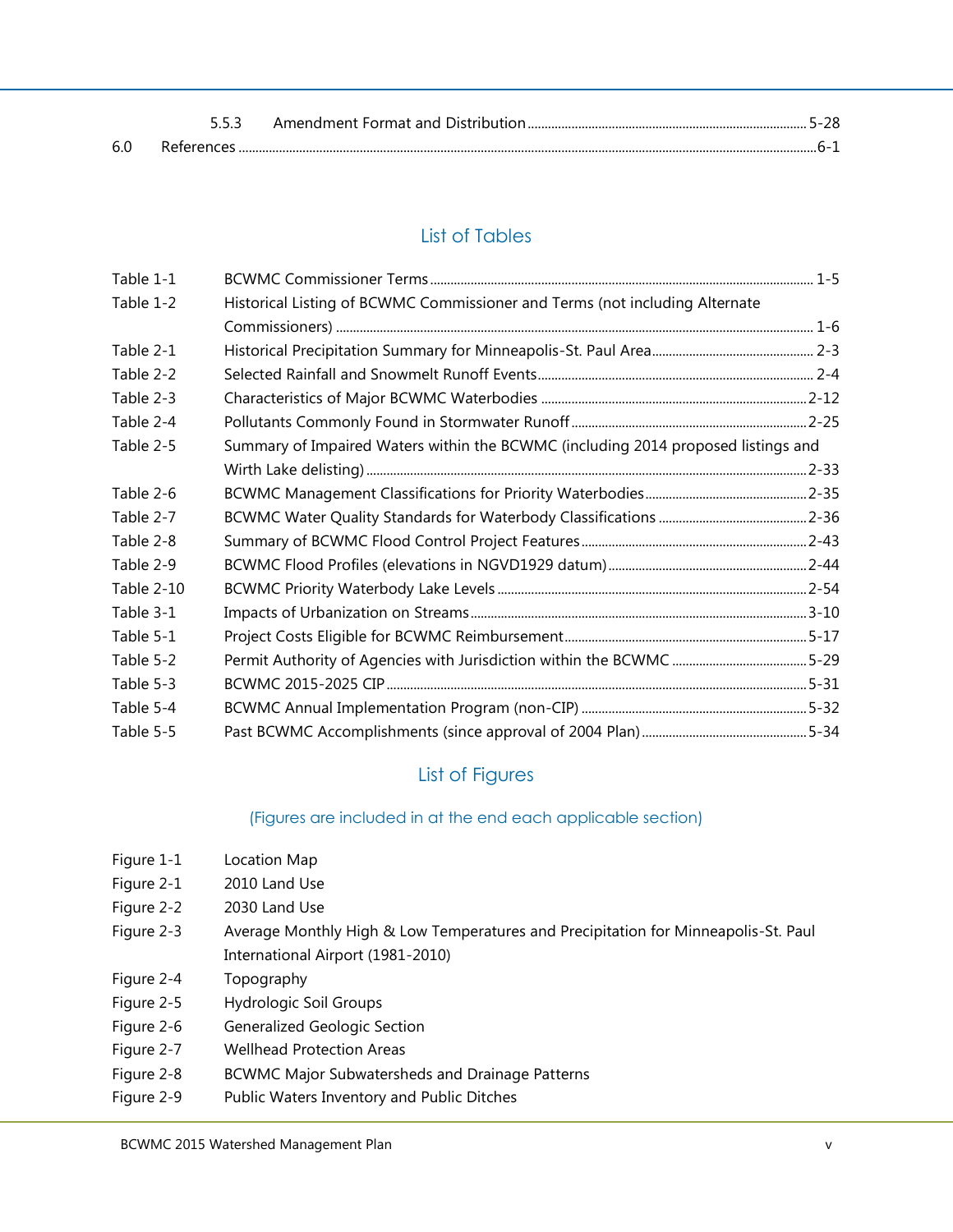|     | 5.5.3      |  |
|-----|------------|--|
| -60 | References |  |

### List of Tables

| Table 1-1  |                                                                                   |  |  |  |
|------------|-----------------------------------------------------------------------------------|--|--|--|
| Table 1-2  | Historical Listing of BCWMC Commissioner and Terms (not including Alternate       |  |  |  |
|            |                                                                                   |  |  |  |
| Table 2-1  |                                                                                   |  |  |  |
| Table 2-2  |                                                                                   |  |  |  |
| Table 2-3  |                                                                                   |  |  |  |
| Table 2-4  |                                                                                   |  |  |  |
| Table 2-5  | Summary of Impaired Waters within the BCWMC (including 2014 proposed listings and |  |  |  |
|            |                                                                                   |  |  |  |
| Table 2-6  |                                                                                   |  |  |  |
| Table 2-7  |                                                                                   |  |  |  |
| Table 2-8  |                                                                                   |  |  |  |
| Table 2-9  |                                                                                   |  |  |  |
| Table 2-10 |                                                                                   |  |  |  |
| Table 3-1  |                                                                                   |  |  |  |
| Table 5-1  |                                                                                   |  |  |  |
| Table 5-2  |                                                                                   |  |  |  |
| Table 5-3  |                                                                                   |  |  |  |
| Table 5-4  |                                                                                   |  |  |  |
| Table 5-5  |                                                                                   |  |  |  |

## List of Figures

#### (Figures are included in at the end each applicable section)

- Figure 1-1 Location Map
- Figure 2-1 2010 Land Use
- Figure 2-2 2030 Land Use
- Figure 2-3 Average Monthly High & Low Temperatures and Precipitation for Minneapolis-St. Paul International Airport (1981-2010)
- Figure 2-4 Topography
- Figure 2-5 Hydrologic Soil Groups
- Figure 2-6 Generalized Geologic Section
- Figure 2-7 Wellhead Protection Areas
- Figure 2-8 BCWMC Major Subwatersheds and Drainage Patterns
- Figure 2-9 Public Waters Inventory and Public Ditches